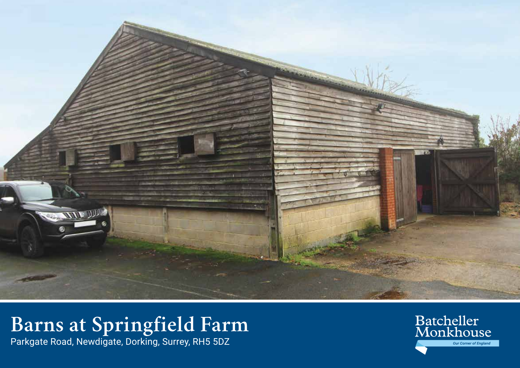

# **Barns at Springfield Farm**

Parkgate Road, Newdigate, Dorking, Surrey, RH5 5DZ

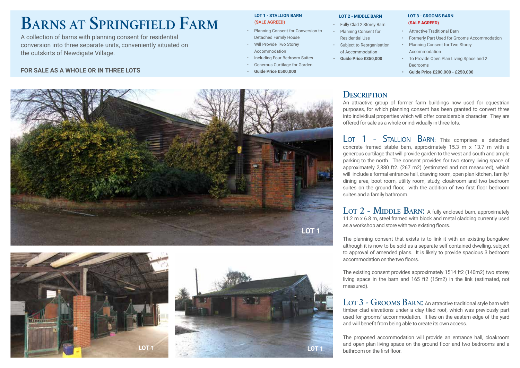# **Barns at Springfield Farm**

A collection of barns with planning consent for residential conversion into three separate units, conveniently situated on the outskirts of Newdigate Village.

### **FOR SALE AS A WHOLE OR IN THREE LOTS**

#### **LOT 1 - STALLION BARN (SALE AGREED)**

- Planning Consent for Conversion to Detached Family House
- Will Provide Two Storey Accommodation
- Including Four Bedroom Suites
- Generous Curtilage for Garden
- **• Guide Price £500,000**

#### **LOT 2 - MIDDLE BARN**

- Fully Clad 2 Storey Barn
- Planning Consent for Residential Use
- Subject to Reorganisation of Accommodation

**• Guide Price £350,000**

Accommodation • To Provide Open Plan Living Space and 2 Bedrooms

 **LOT 3 - GROOMS BARN (SALE AGREED)** • Attractive Traditional Barn

**• Guide Price £200,000 - £250,000**

• Planning Consent for Two Storey

• Formerly Part Used for Grooms Accommodation

## **Description**

An attractive group of former farm buildings now used for equestrian purposes, for which planning consent has been granted to convert three into individiual properties which will offer considerable character. They are offered for sale as a whole or individually in three lots.

LOT 1 - STALLION BARN: This comprises a detached concrete framed stable barn, approximately 15.3 m x 13.7 m with a generous curtilage that will provide garden to the west and south and ample parking to the north. The consent provides for two storey living space of approximately 2,880 ft2. (267 m2) (estimated and not measured), which will include a formal entrance hall, drawing room, open plan kitchen, family/ dining area, boot room, utility room, study, cloakroom and two bedroom suites on the ground floor; with the addition of two first floor bedroom suites and a family bathroom.

LOT 2 - MIDDLE BARN: A fully enclosed barn, approximately 11.2 m x 6.8 m, steel framed with block and metal cladding currently used as a workshop and store with two existing floors.

The planning consent that exists is to link it with an existing bungalow, although it is now to be sold as a separate self contained dwelling, subject to approval of amended plans. It is likely to provide spacious 3 bedroom accommodation on the two floors.

The existing consent provides approximately 1514 ft2 (140m2) two storey living space in the barn and 165 ft2 (15m2) in the link (estimated, not measured).

LOT 3 - GROOMS BARN: An attractive traditional style barn with timber clad elevations under a clay tiled roof, which was previously part used for grooms' accommodation. It lies on the eastern edge of the yard and will benefit from being able to create its own access.

The proposed accommodation will provide an entrance hall, cloakroom and open plan living space on the ground floor and two bedrooms and a bathroom on the first floor.





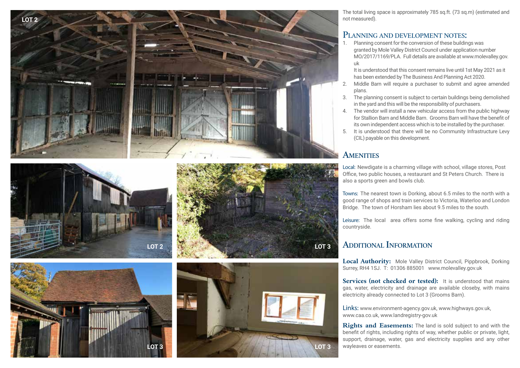









The total living space is approximately 785 sq.ft. (73 sq.m) (estimated and not measured).

# **Planning and deve lop ment notes:**

1. Planning consent for the conversion of these buildings was granted by Mole Valley District Council under application number MO/2017/1169/PLA. Full details are available at www.molevalley.gov. uk

It is understood that this consent remains live until 1st May 2021 as it has been extended by The Business And Planning Act 2020.

- 2. Middle Barn will require a purchaser to submit and agree amended plans.
- 3. The planning consent is subject to certain buildings being demolished in the yard and this will be the responsibility of purchasers.
- 4. The vendor will install a new vehicular access from the public highway for Stallion Barn and Middle Barn. Grooms Barn will have the benefit of its own independent access which is to be installed by the purchaser.
- 5. It is understood that there will be no Community Infrastructure Levy (CIL) payable on this development.

## **AMENITIES**

Local: Newdigate is a charming village with school, village stores, Post Office, two public houses, a restaurant and St Peters Church. There is also a sports green and bowls club.

Towns: The nearest town is Dorking, about 6.5 miles to the north with a good range of shops and train services to Victoria, Waterloo and London Bridge. The town of Horsham lies about 9.5 miles to the south.

Leisure: The local area offers some fine walking, cycling and riding countryside.

#### **Additiona Information l**

**Local Authority:** Mole Valley District Council, Pippbrook, Dorking Surrey, RH4 1SJ. T: 01306 885001 www.molevalley.gov.uk

**Services (not checked or tested):** It is understood that mains gas, water, electricity and drainage are available closeby, with mains electricity already connected to Lot 3 (Grooms Barn).

Links: www.environment-agency.gov.uk, www.highways.gov.uk, www.caa.co.uk, www.landregistry-gov.uk

**Rights and Easements:** The land is sold subject to and with the benefit of rights, including rights of way, whether public or private, light, support, drainage, water, gas and electricity supplies and any other wayleaves or easements.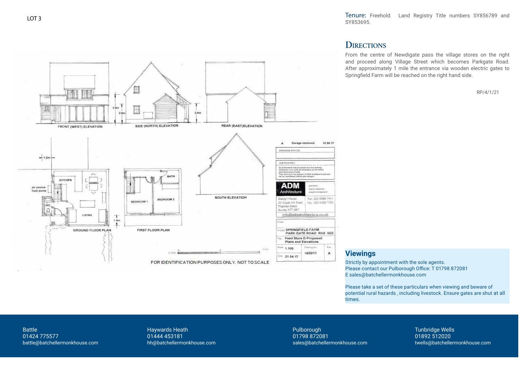Tenure: Freehold. Land Registry Title numbers SY856789 and SY853695.

# **DIRECTIONS**

From the centre of Newdigate pass the village stores on the right and proceed along Village Street which becomes Parkgate Road. After approximately 1 mile the entrance via wooden electric gates to Springfield Farm will be reached on the right hand side.

RP/4/1/21



### **Viewings**

Strictly by appointment with the sole agents. Please contact our Pulborough Office: T 01798 872081 E sales@batchellermonkhouse.com

Please take a set of these particulars when viewing and beware of potential rural hazards , including livestock. Ensure gates are shut at all times.

Battle 01424 775577 battle@batchellermonkhouse.com

Haywards Heath 01444 453181 hh@batchellermonkhouse.com Pulborough 01798 872081 sales@batchellermonkhouse.com Tunbridge Wells 01892 512020 twells@batchellermonkhouse.com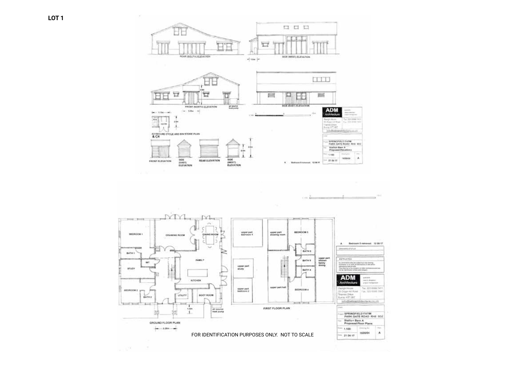

FIRST FLOOR PLAN

FOR IDENTIFICATION PURPOSES ONLY. NOT TO SCALE

剜

弭

 $-1$ 

GROUND FLOOR PLAN  $-120 - 1$ 

#### SPRINGFIELD FARM.<br>PARK GATE ROAD RHE 5DZ **Stallun Barn A**<br>Proposed Floor Plans Chevrolet Inc. L-su 1.100 **A** 1635/04  $= 21.04.17$